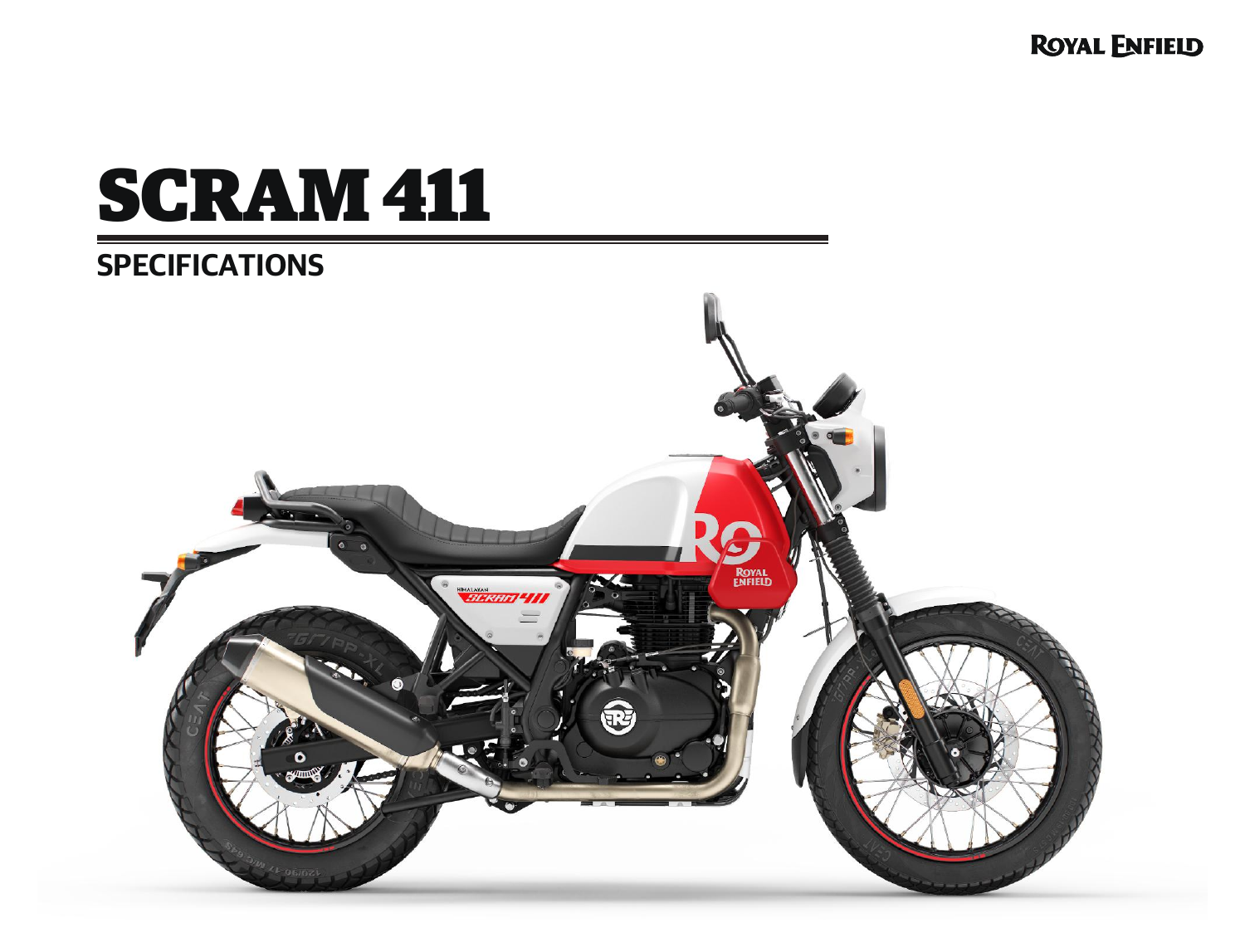**ROYAL ENFIELD** 

# SCRAM 411

## **SPECIFICATIONS**